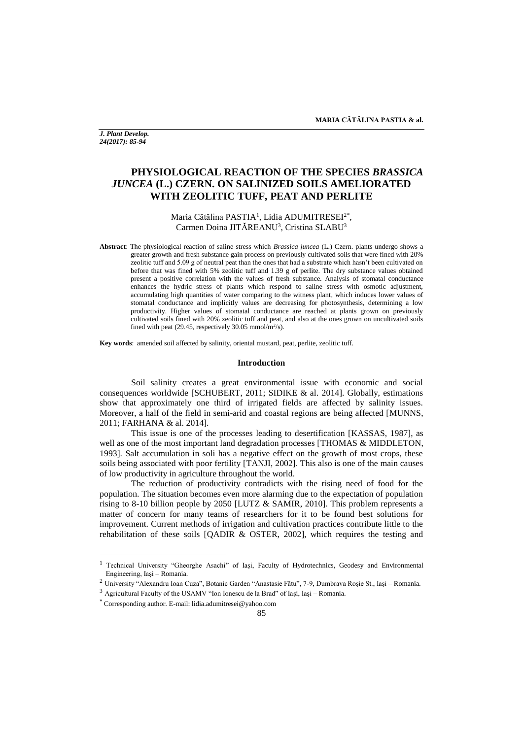*J. Plant Develop. 24(2017): 85-94*

# **PHYSIOLOGICAL REACTION OF THE SPECIES** *BRASSICA JUNCEA* **(L.) CZERN. ON SALINIZED SOILS AMELIORATED WITH ZEOLITIC TUFF, PEAT AND PERLITE**

# Maria Cătălina PASTIA<sup>1</sup>, Lidia ADUMITRESEI<sup>2\*</sup>, Carmen Doina JITĂREANU<sup>3</sup>, Cristina SLABU<sup>3</sup>

**Abstract**: The physiological reaction of saline stress which *Brassica juncea* (L.) Czern. plants undergo shows a greater growth and fresh substance gain process on previously cultivated soils that were fined with 20% zeolitic tuff and 5.09 g of neutral peat than the ones that had a substrate which hasn't been cultivated on before that was fined with 5% zeolitic tuff and 1.39 g of perlite. The dry substance values obtained present a positive correlation with the values of fresh substance. Analysis of stomatal conductance enhances the hydric stress of plants which respond to saline stress with osmotic adjustment, accumulating high quantities of water comparing to the witness plant, which induces lower values of stomatal conductance and implicitly values are decreasing for photosynthesis, determining a low productivity. Higher values of stomatal conductance are reached at plants grown on previously cultivated soils fined with 20% zeolitic tuff and peat, and also at the ones grown on uncultivated soils fined with peat (29.45, respectively 30.05 mmol/m<sup>2</sup>/s).

**Key words**: amended soil affected by salinity, oriental mustard, peat, perlite, zeolitic tuff.

### **Introduction**

Soil salinity creates a great environmental issue with economic and social consequences worldwide [SCHUBERT, 2011; SIDIKE & al. 2014]. Globally, estimations show that approximately one third of irrigated fields are affected by salinity issues. Moreover, a half of the field in semi-arid and coastal regions are being affected [MUNNS, 2011; FARHANA & al. 2014].

This issue is one of the processes leading to desertification [KASSAS, 1987], as well as one of the most important land degradation processes [THOMAS & MIDDLETON, 1993]. Salt accumulation in soli has a negative effect on the growth of most crops, these soils being associated with poor fertility [TANJI, 2002]. This also is one of the main causes of low productivity in agriculture throughout the world.

The reduction of productivity contradicts with the rising need of food for the population. The situation becomes even more alarming due to the expectation of population rising to 8-10 billion people by 2050 [LUTZ & SAMIR, 2010]. This problem represents a matter of concern for many teams of researchers for it to be found best solutions for improvement. Current methods of irrigation and cultivation practices contribute little to the rehabilitation of these soils [QADIR & OSTER, 2002], which requires the testing and

 $\overline{\phantom{a}}$ 

<sup>&</sup>lt;sup>1</sup> Technical University "Gheorghe Asachi" of Iasi, Faculty of Hydrotechnics, Geodesy and Environmental Engineering, Iaşi – Romania.

<sup>2</sup> University "Alexandru Ioan Cuza", Botanic Garden "Anastasie Fătu", 7-9, Dumbrava Roşie St., Iaşi – Romania.

<sup>3</sup> Agricultural Faculty of the USAMV "Ion Ionescu de la Brad" of Iaşi, Iaşi – Romania.

<sup>\*</sup> Corresponding author. E-mail: lidia.adumitresei@yahoo.com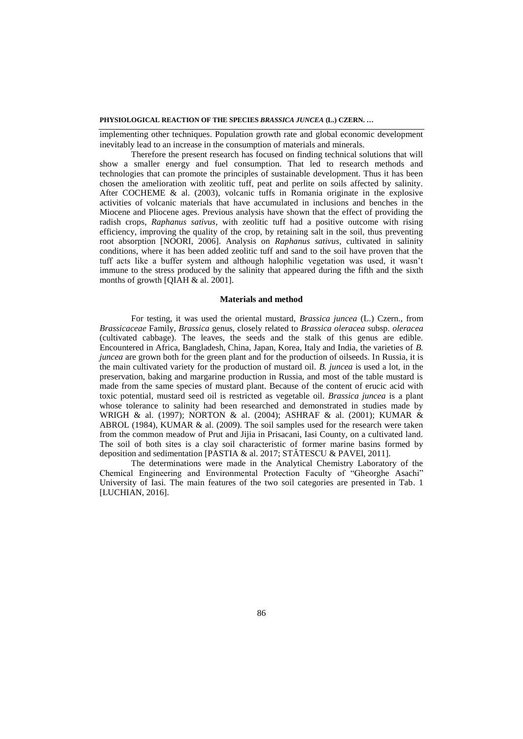implementing other techniques. Population growth rate and global economic development inevitably lead to an increase in the consumption of materials and minerals.

Therefore the present research has focused on finding technical solutions that will show a smaller energy and fuel consumption. That led to research methods and technologies that can promote the principles of sustainable development. Thus it has been chosen the amelioration with zeolitic tuff, peat and perlite on soils affected by salinity. After COCHEME & al. (2003), volcanic tuffs in Romania originate in the explosive activities of volcanic materials that have accumulated in inclusions and benches in the Miocene and Pliocene ages. Previous analysis have shown that the effect of providing the radish crops, *Raphanus sativus*, with zeolitic tuff had a positive outcome with rising efficiency, improving the quality of the crop, by retaining salt in the soil, thus preventing root absorption [NOORI, 2006]. Analysis on *Raphanus sativus*, cultivated in salinity conditions, where it has been added zeolitic tuff and sand to the soil have proven that the tuff acts like a buffer system and although halophilic vegetation was used, it wasn't immune to the stress produced by the salinity that appeared during the fifth and the sixth months of growth [QIAH & al. 2001].

### **Materials and method**

For testing, it was used the oriental mustard, *Brassica juncea* (L.) Czern., from *Brassicaceae* Family, *Brassica* genus*,* closely related to *Brassica oleracea* subsp*. oleracea*  (cultivated cabbage). The leaves, the seeds and the stalk of this genus are edible. Encountered in Africa, Bangladesh, China, Japan, Korea, Italy and India, the varieties of *B. juncea* are grown both for the green plant and for the production of oilseeds. In Russia, it is the main cultivated variety for the production of mustard oil. *B. juncea* is used a lot, in the preservation, baking and margarine production in Russia, and most of the table mustard is made from the same species of mustard plant. Because of the content of erucic acid with toxic potential, mustard seed oil is restricted as vegetable oil. *Brassica juncea* is a plant whose tolerance to salinity had been researched and demonstrated in studies made by WRIGH & al. (1997); NORTON & al. (2004); ASHRAF & al. (2001); KUMAR & ABROL (1984), KUMAR & al. (2009). The soil samples used for the research were taken from the common meadow of Prut and Jijia in Prisacani, Iasi County, on a cultivated land. The soil of both sites is a clay soil characteristic of former marine basins formed by deposition and sedimentation [PASTIA & al. 2017; STĂTESCU & PAVEl, 2011].

The determinations were made in the Analytical Chemistry Laboratory of the Chemical Engineering and Environmental Protection Faculty of "Gheorghe Asachi" University of Iasi. The main features of the two soil categories are presented in Tab. 1 [LUCHIAN, 2016].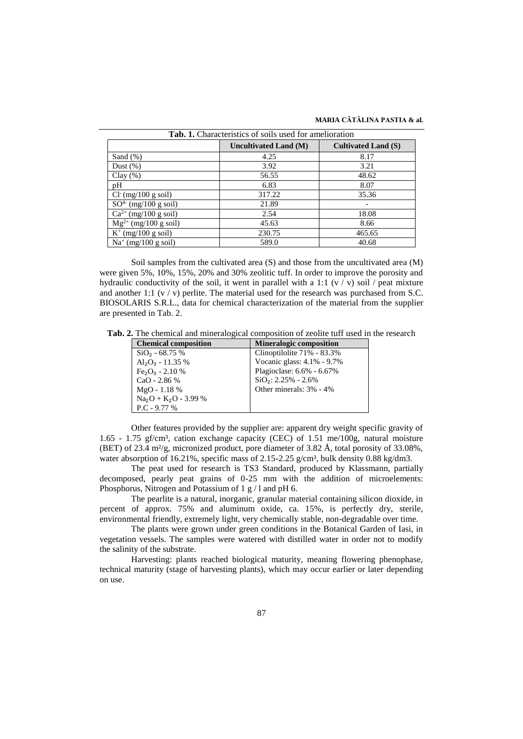#### **MARIA CĂTĂLINA PASTIA & al.**

| Tab. 1. Characteristics of soils used for amelioration |                       |                            |  |  |
|--------------------------------------------------------|-----------------------|----------------------------|--|--|
|                                                        | Uncultivated Land (M) | <b>Cultivated Land (S)</b> |  |  |
| Sand $(\%)$                                            | 4.25                  | 8.17                       |  |  |
| Dust $(\%)$                                            | 3.92                  | 3.21                       |  |  |
| Clay $(\%)$                                            | 56.55                 | 48.62                      |  |  |
| pH                                                     | 6.83                  | 8.07                       |  |  |
| $Cl^{(mg/100 g \text{ soil})}$                         | 317.22                | 35.36                      |  |  |
| $SO4$ (mg/100 g soil)                                  | 21.89                 |                            |  |  |
| $Ca^{2+}$ (mg/100 g soil)                              | 2.54                  | 18.08                      |  |  |
| $Mg^{2+}$ (mg/100 g soil)                              | 45.63                 | 8.66                       |  |  |
| $K^+$ (mg/100 g soil)                                  | 230.75                | 465.65                     |  |  |
| $Na^+$ (mg/100 g soil)                                 | 589.0                 | 40.68                      |  |  |

Soil samples from the cultivated area (S) and those from the uncultivated area (M) were given 5%, 10%, 15%, 20% and 30% zeolitic tuff. In order to improve the porosity and hydraulic conductivity of the soil, it went in parallel with a 1:1 ( $v / v$ ) soil / peat mixture and another 1:1 ( $v / v$ ) perlite. The material used for the research was purchased from S.C. BIOSOLARIS S.R.L., data for chemical characterization of the material from the supplier are presented in Tab. 2.

**Tab. 2.** The chemical and mineralogical composition of zeolite tuff used in the research

| <b>Chemical composition</b> | <b>Mineralogic composition</b> |
|-----------------------------|--------------------------------|
| $SiO2 - 68.75$ %            | Clinoptilolite 71% - 83.3%     |
| $Al_2O_3 - 11.35\%$         | Vocanic glass: 4.1% - 9.7%     |
| $Fe2O3 - 2.10 %$            | Plagioclase: 6.6% - 6.67%      |
| CaO - 2.86 %                | $SiO2: 2.25% - 2.6%$           |
| $MgO - 1.18%$               | Other minerals: 3% - 4%        |
| $Na2O + K2O - 3.99$ %       |                                |
| $P.C - 9.77\%$              |                                |

Other features provided by the supplier are: apparent dry weight specific gravity of 1.65 - 1.75 gf/cm<sup>3</sup>, cation exchange capacity (CEC) of 1.51 me/100g, natural moisture (BET) of 23.4 m²/g, micronized product, pore diameter of 3.82 Å, total porosity of 33.08%, water absorption of 16.21%, specific mass of 2.15-2.25  $g/cm<sup>3</sup>$ , bulk density 0.88 kg/dm3.

The peat used for research is TS3 Standard, produced by Klassmann, partially decomposed, pearly peat grains of 0-25 mm with the addition of microelements: Phosphorus, Nitrogen and Potassium of 1 g / l and pH 6.

The pearlite is a natural, inorganic, granular material containing silicon dioxide, in percent of approx. 75% and aluminum oxide, ca. 15%, is perfectly dry, sterile, environmental friendly, extremely light, very chemically stable, non-degradable over time.

The plants were grown under green conditions in the Botanical Garden of Iasi, in vegetation vessels. The samples were watered with distilled water in order not to modify the salinity of the substrate.

Harvesting: plants reached biological maturity, meaning flowering phenophase, technical maturity (stage of harvesting plants), which may occur earlier or later depending on use.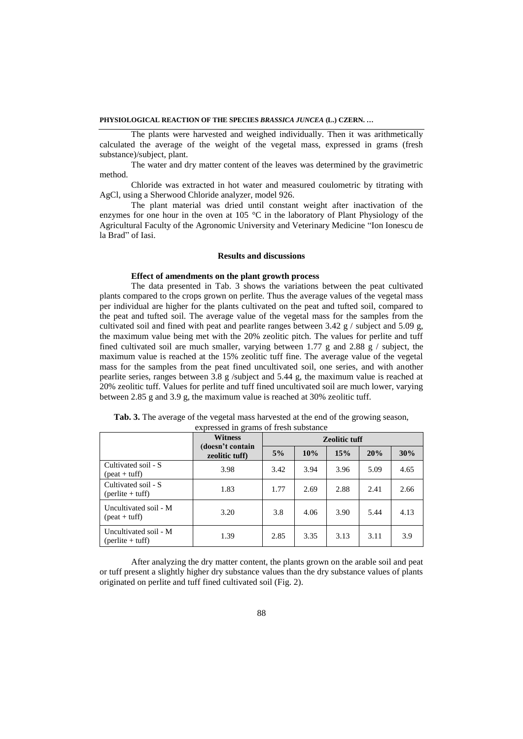The plants were harvested and weighed individually. Then it was arithmetically calculated the average of the weight of the vegetal mass, expressed in grams (fresh substance)/subject, plant.

The water and dry matter content of the leaves was determined by the gravimetric method.

Chloride was extracted in hot water and measured coulometric by titrating with AgCl, using a Sherwood Chloride analyzer, model 926.

The plant material was dried until constant weight after inactivation of the enzymes for one hour in the oven at 105 °C in the laboratory of Plant Physiology of the Agricultural Faculty of the Agronomic University and Veterinary Medicine "Ion Ionescu de la Brad" of Iasi.

# **Results and discussions**

# **Effect of amendments on the plant growth process**

The data presented in Tab. 3 shows the variations between the peat cultivated plants compared to the crops grown on perlite. Thus the average values of the vegetal mass per individual are higher for the plants cultivated on the peat and tufted soil, compared to the peat and tufted soil. The average value of the vegetal mass for the samples from the cultivated soil and fined with peat and pearlite ranges between 3.42 g / subject and 5.09 g, the maximum value being met with the 20% zeolitic pitch. The values for perlite and tuff fined cultivated soil are much smaller, varying between 1.77 g and 2.88 g  $/$  subject, the maximum value is reached at the 15% zeolitic tuff fine. The average value of the vegetal mass for the samples from the peat fined uncultivated soil, one series, and with another pearlite series, ranges between 3.8 g /subject and 5.44 g, the maximum value is reached at 20% zeolitic tuff. Values for perlite and tuff fined uncultivated soil are much lower, varying between 2.85 g and 3.9 g, the maximum value is reached at 30% zeolitic tuff.

|                                                        | <b>Witness</b>                     | <b>Zeolitic tuff</b> |      |      |      |      |
|--------------------------------------------------------|------------------------------------|----------------------|------|------|------|------|
|                                                        | (doesn't contain<br>zeolitic tuff) | 5%                   | 10%  | 15%  | 20%  | 30%  |
| Cultivated soil - S<br>$(\text{beat} + \text{tuff})$   | 3.98                               | 3.42                 | 3.94 | 3.96 | 5.09 | 4.65 |
| Cultivated soil - S<br>${\rm (perlite + tuff)}$        | 1.83                               | 1.77                 | 2.69 | 2.88 | 2.41 | 2.66 |
| Uncultivated soil - M<br>$(\text{beat} + \text{tuff})$ | 3.20                               | 3.8                  | 4.06 | 3.90 | 5.44 | 4.13 |
| Uncultivated soil - M<br>${\rm (perlite + tuff)}$      | 1.39                               | 2.85                 | 3.35 | 3.13 | 3.11 | 3.9  |

**Tab. 3.** The average of the vegetal mass harvested at the end of the growing season, expressed in grams of fresh substance

After analyzing the dry matter content, the plants grown on the arable soil and peat or tuff present a slightly higher dry substance values than the dry substance values of plants originated on perlite and tuff fined cultivated soil (Fig. 2).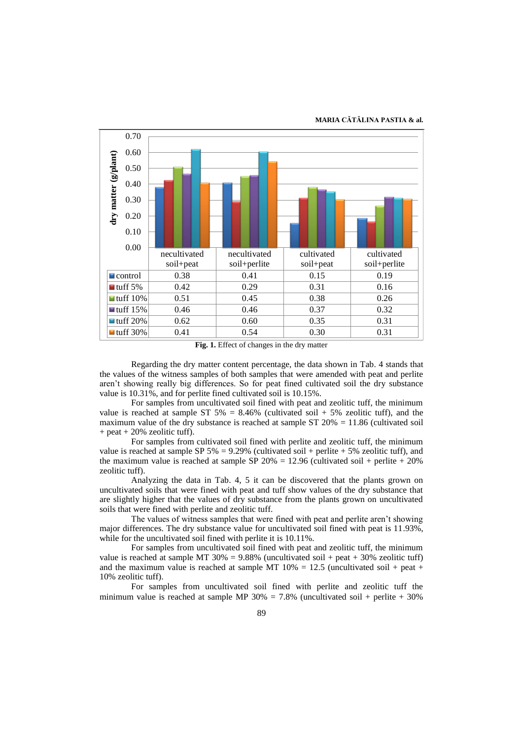#### **MARIA CĂTĂLINA PASTIA & al.**



**Fig. 1.** Effect of changes in the dry matter

Regarding the dry matter content percentage, the data shown in Tab. 4 stands that the values of the witness samples of both samples that were amended with peat and perlite aren't showing really big differences. So for peat fined cultivated soil the dry substance value is 10.31%, and for perlite fined cultivated soil is 10.15%.

For samples from uncultivated soil fined with peat and zeolitic tuff, the minimum value is reached at sample ST 5% = 8.46% (cultivated soil + 5% zeolitic tuff), and the maximum value of the dry substance is reached at sample ST  $20\% = 11.86$  (cultivated soil  $+$  peat  $+$  20% zeolitic tuff).

For samples from cultivated soil fined with perlite and zeolitic tuff, the minimum value is reached at sample SP 5% = 9.29% (cultivated soil + perlite + 5% zeolitic tuff), and the maximum value is reached at sample SP  $20\% = 12.96$  (cultivated soil + perlite + 20%) zeolitic tuff).

Analyzing the data in Tab. 4, 5 it can be discovered that the plants grown on uncultivated soils that were fined with peat and tuff show values of the dry substance that are slightly higher that the values of dry substance from the plants grown on uncultivated soils that were fined with perlite and zeolitic tuff.

The values of witness samples that were fined with peat and perlite aren't showing major differences. The dry substance value for uncultivated soil fined with peat is 11.93%, while for the uncultivated soil fined with perlite it is 10.11%.

For samples from uncultivated soil fined with peat and zeolitic tuff, the minimum value is reached at sample MT 30% = 9.88% (uncultivated soil + peat + 30% zeolitic tuff) and the maximum value is reached at sample MT  $10\% = 12.5$  (uncultivated soil + peat + 10% zeolitic tuff).

For samples from uncultivated soil fined with perlite and zeolitic tuff the minimum value is reached at sample MP  $30\% = 7.8\%$  (uncultivated soil + perlite + 30%)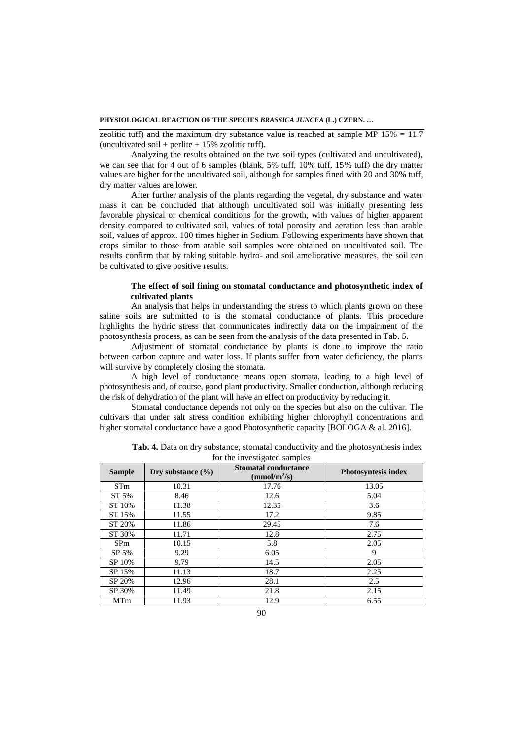zeolitic tuff) and the maximum dry substance value is reached at sample MP  $15\% = 11.7$ (uncultivated soil + perlite  $+ 15\%$  zeolitic tuff).

Analyzing the results obtained on the two soil types (cultivated and uncultivated), we can see that for 4 out of 6 samples (blank, 5% tuff, 10% tuff, 15% tuff) the dry matter values are higher for the uncultivated soil, although for samples fined with 20 and 30% tuff, dry matter values are lower.

After further analysis of the plants regarding the vegetal, dry substance and water mass it can be concluded that although uncultivated soil was initially presenting less favorable physical or chemical conditions for the growth, with values of higher apparent density compared to cultivated soil, values of total porosity and aeration less than arable soil, values of approx. 100 times higher in Sodium. Following experiments have shown that crops similar to those from arable soil samples were obtained on uncultivated soil. The results confirm that by taking suitable hydro- and soil ameliorative measures, the soil can be cultivated to give positive results.

# **The effect of soil fining on stomatal conductance and photosynthetic index of cultivated plants**

An analysis that helps in understanding the stress to which plants grown on these saline soils are submitted to is the stomatal conductance of plants. This procedure highlights the hydric stress that communicates indirectly data on the impairment of the photosynthesis process, as can be seen from the analysis of the data presented in Tab. 5.

Adjustment of stomatal conductance by plants is done to improve the ratio between carbon capture and water loss. If plants suffer from water deficiency, the plants will survive by completely closing the stomata.

A high level of conductance means open stomata, leading to a high level of photosynthesis and, of course, good plant productivity. Smaller conduction, although reducing the risk of dehydration of the plant will have an effect on productivity by reducing it.

Stomatal conductance depends not only on the species but also on the cultivar. The cultivars that under salt stress condition exhibiting higher chlorophyll concentrations and higher stomatal conductance have a good Photosynthetic capacity [BOLOGA & al. 2016].

| <b>Sample</b> | Dry substance $(\% )$ | <b>Stomatal conductance</b><br>(mmol/m <sup>2</sup> /s) | <b>Photosyntesis index</b> |  |  |
|---------------|-----------------------|---------------------------------------------------------|----------------------------|--|--|
| <b>STm</b>    | 10.31                 | 17.76                                                   | 13.05                      |  |  |
| ST 5%         | 8.46                  | 12.6                                                    | 5.04                       |  |  |
| ST 10%        | 11.38                 | 12.35                                                   | 3.6                        |  |  |
| ST 15%        | 11.55                 | 17.2                                                    | 9.85                       |  |  |
| ST 20%        | 11.86                 | 29.45                                                   | 7.6                        |  |  |
| ST 30%        | 11.71                 | 12.8                                                    | 2.75                       |  |  |
| <b>SPm</b>    | 10.15                 | 5.8                                                     | 2.05                       |  |  |
| SP 5%         | 9.29                  | 6.05                                                    | 9                          |  |  |
| SP 10%        | 9.79                  | 14.5                                                    | 2.05                       |  |  |
| SP 15%        | 11.13                 | 18.7                                                    | 2.25                       |  |  |
| SP 20%        | 12.96                 | 28.1                                                    | 2.5                        |  |  |
| SP 30%        | 11.49                 | 21.8                                                    | 2.15                       |  |  |
| MTm           | 11.93                 | 12.9                                                    | 6.55                       |  |  |

| <b>Tab. 4.</b> Data on dry substance, stomatal conductivity and the photosynthesis index |
|------------------------------------------------------------------------------------------|
| for the investigated samples                                                             |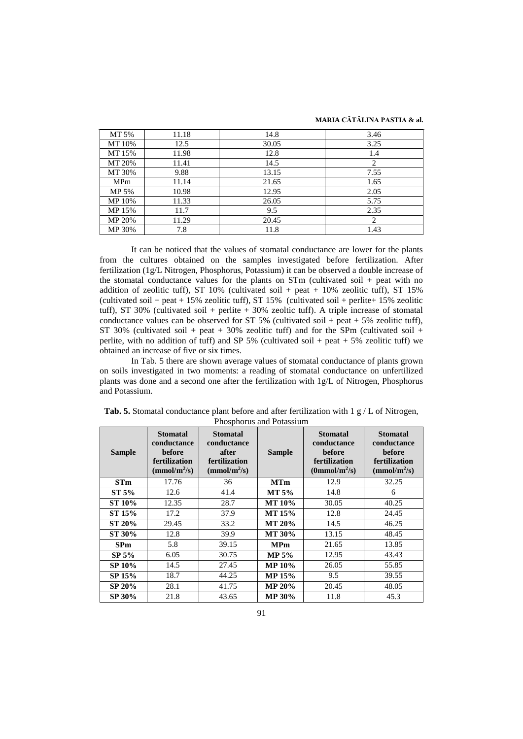| MT 5%      | 11.18 | 14.8  | 3.46 |
|------------|-------|-------|------|
| MT 10%     | 12.5  | 30.05 | 3.25 |
| MT 15%     | 11.98 | 12.8  | 1.4  |
| MT 20%     | 11.41 | 14.5  | 2    |
| MT 30%     | 9.88  | 13.15 | 7.55 |
| <b>MPm</b> | 11.14 | 21.65 | 1.65 |
| MP 5%      | 10.98 | 12.95 | 2.05 |
| MP 10%     | 11.33 | 26.05 | 5.75 |
| MP 15%     | 11.7  | 9.5   | 2.35 |
| MP 20%     | 11.29 | 20.45 | 2    |
| MP 30%     | 7.8   | 11.8  | 1.43 |

It can be noticed that the values of stomatal conductance are lower for the plants from the cultures obtained on the samples investigated before fertilization. After fertilization (1g/L Nitrogen, Phosphorus, Potassium) it can be observed a double increase of the stomatal conductance values for the plants on STm (cultivated soil + peat with no addition of zeolitic tuff), ST 10% (cultivated soil + peat + 10% zeolitic tuff), ST 15% (cultivated soil + peat + 15% zeolitic tuff), ST 15% (cultivated soil + perlite+ 15% zeolitic tuff), ST 30% (cultivated soil + perlite  $+$  30% zeoltic tuff). A triple increase of stomatal conductance values can be observed for  $ST 5\%$  (cultivated soil + peat + 5% zeolitic tuff), ST 30% (cultivated soil + peat + 30% zeolitic tuff) and for the SPm (cultivated soil + perlite, with no addition of tuff) and SP 5% (cultivated soil + peat + 5% zeolitic tuff) we obtained an increase of five or six times.

In Tab. 5 there are shown average values of stomatal conductance of plants grown on soils investigated in two moments: a reading of stomatal conductance on unfertilized plants was done and a second one after the fertilization with 1g/L of Nitrogen, Phosphorus and Potassium.

| <b>Sample</b> | <b>Stomatal</b><br>conductance<br>before<br>fertilization<br>(mmol/m <sup>2</sup> /s) | <b>Stomatal</b><br>conductance<br>after<br>fertilization<br>(mmol/m <sup>2</sup> /s) | <b>Sample</b> | <b>Stomatal</b><br>conductance<br>before<br>fertilization<br>(0mmol/m <sup>2</sup> /s) | <b>Stomatal</b><br>conductance<br>before<br>fertilization<br>(mmol/m <sup>2</sup> /s) |
|---------------|---------------------------------------------------------------------------------------|--------------------------------------------------------------------------------------|---------------|----------------------------------------------------------------------------------------|---------------------------------------------------------------------------------------|
| STm           | 17.76                                                                                 | 36                                                                                   | <b>MTm</b>    | 12.9                                                                                   | 32.25                                                                                 |
| ST 5%         | 12.6                                                                                  | 41.4                                                                                 | <b>MT 5%</b>  | 14.8                                                                                   | 6                                                                                     |
| ST 10%        | 12.35                                                                                 | 28.7                                                                                 | MT 10%        | 30.05                                                                                  | 40.25                                                                                 |
| ST 15%        | 17.2                                                                                  | 37.9                                                                                 | <b>MT 15%</b> | 12.8                                                                                   | 24.45                                                                                 |
| <b>ST 20%</b> | 29.45                                                                                 | 33.2                                                                                 | <b>MT 20%</b> | 14.5                                                                                   | 46.25                                                                                 |
| ST 30%        | 12.8                                                                                  | 39.9                                                                                 | <b>MT 30%</b> | 13.15                                                                                  | 48.45                                                                                 |
| <b>SPm</b>    | 5.8                                                                                   | 39.15                                                                                | <b>MPm</b>    | 21.65                                                                                  | 13.85                                                                                 |
| SP 5%         | 6.05                                                                                  | 30.75                                                                                | <b>MP 5%</b>  | 12.95                                                                                  | 43.43                                                                                 |
| <b>SP 10%</b> | 14.5                                                                                  | 27.45                                                                                | MP 10%        | 26.05                                                                                  | 55.85                                                                                 |
| SP 15%        | 18.7                                                                                  | 44.25                                                                                | MP 15%        | 9.5                                                                                    | 39.55                                                                                 |
| SP 20%        | 28.1                                                                                  | 41.75                                                                                | <b>MP 20%</b> | 20.45                                                                                  | 48.05                                                                                 |
| SP 30%        | 21.8                                                                                  | 43.65                                                                                | <b>MP 30%</b> | 11.8                                                                                   | 45.3                                                                                  |

**Tab. 5.** Stomatal conductance plant before and after fertilization with 1 g / L of Nitrogen, Phosphorus and Potassium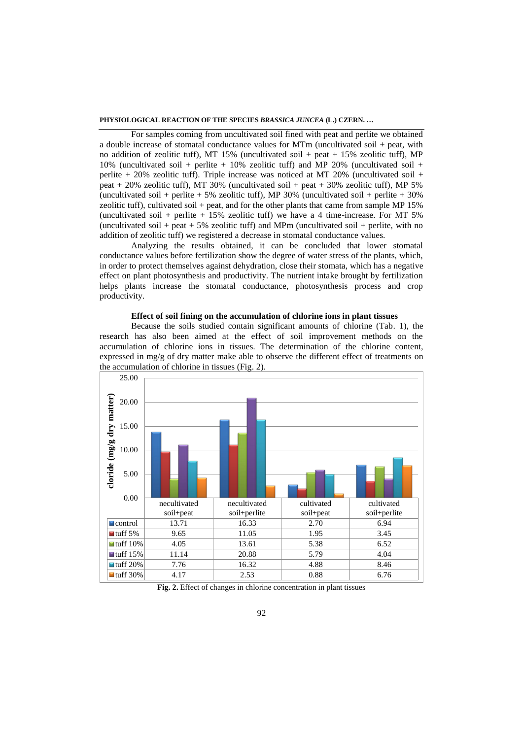For samples coming from uncultivated soil fined with peat and perlite we obtained a double increase of stomatal conductance values for MTm (uncultivated soil + peat, with no addition of zeolitic tuff), MT 15% (uncultivated soil + peat + 15% zeolitic tuff), MP 10% (uncultivated soil + perlite + 10% zeolitic tuff) and MP 20% (uncultivated soil + perlite  $+$  20% zeolitic tuff). Triple increase was noticed at MT 20% (uncultivated soil  $+$ peat  $+$  20% zeolitic tuff), MT 30% (uncultivated soil  $+$  peat  $+$  30% zeolitic tuff), MP 5% (uncultivated soil + perlite + 5% zeolitic tuff), MP 30% (uncultivated soil + perlite + 30% zeolitic tuff), cultivated soil + peat, and for the other plants that came from sample MP 15% (uncultivated soil + perlite +  $15\%$  zeolitic tuff) we have a 4 time-increase. For MT 5% (uncultivated soil + peat  $+ 5\%$  zeolitic tuff) and MPm (uncultivated soil + perlite, with no addition of zeolitic tuff) we registered a decrease in stomatal conductance values.

Analyzing the results obtained, it can be concluded that lower stomatal conductance values before fertilization show the degree of water stress of the plants, which, in order to protect themselves against dehydration, close their stomata, which has a negative effect on plant photosynthesis and productivity. The nutrient intake brought by fertilization helps plants increase the stomatal conductance, photosynthesis process and crop productivity.

## **Effect of soil fining on the accumulation of chlorine ions in plant tissues**

Because the soils studied contain significant amounts of chlorine (Tab. 1), the research has also been aimed at the effect of soil improvement methods on the accumulation of chlorine ions in tissues. The determination of the chlorine content, expressed in mg/g of dry matter make able to observe the different effect of treatments on the accumulation of chlorine in tissues (Fig. 2).



**Fig. 2.** Effect of changes in chlorine concentration in plant tissues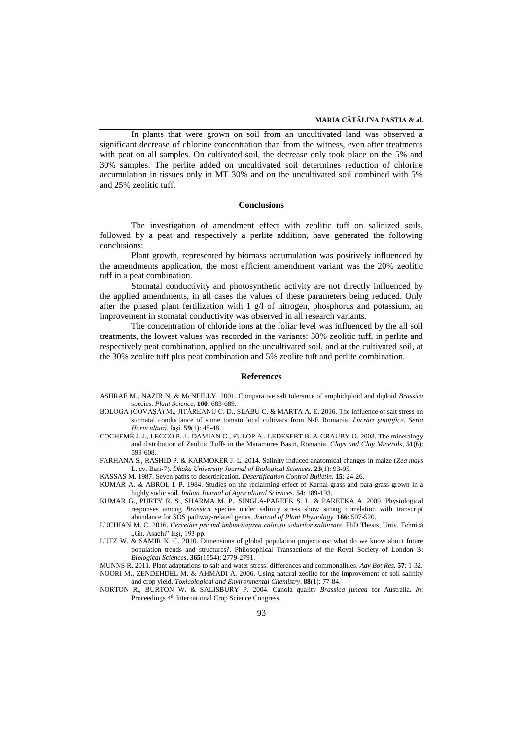In plants that were grown on soil from an uncultivated land was observed a significant decrease of chlorine concentration than from the witness, even after treatments with peat on all samples. On cultivated soil, the decrease only took place on the 5% and 30% samples. The perlite added on uncultivated soil determines reduction of chlorine accumulation in tissues only in MT 30% and on the uncultivated soil combined with 5% and 25% zeolitic tuff.

#### **Conclusions**

The investigation of amendment effect with zeolitic tuff on salinized soils, followed by a peat and respectively a perlite addition, have generated the following conclusions:

Plant growth, represented by biomass accumulation was positively influenced by the amendments application, the most efficient amendment variant was the 20% zeolitic tuff in a peat combination.

Stomatal conductivity and photosynthetic activity are not directly influenced by the applied amendments, in all cases the values of these parameters being reduced. Only after the phased plant fertilization with 1 g/l of nitrogen, phosphorus and potassium, an improvement in stomatal conductivity was observed in all research variants.

The concentration of chloride ions at the foliar level was influenced by the all soil treatments, the lowest values was recorded in the variants: 30% zeolitic tuff, in perlite and respectively peat combination, applied on the uncultivated soil, and at the cultivated soil, at the 30% zeolite tuff plus peat combination and 5% zeolite tuft and perlite combination.

#### **References**

- ASHRAF M., NAZIR N. & McNEILLY. 2001. Comparative salt tolerance of amphidiploid and diploid *Brassica* species. *Plant Science*. **160**: 683-689.
- BOLOGA (COVAŞĂ) M., JITĂREANU C. D., SLABU C. & MARTA A. E. 2016. The influence of salt stress on stomatal conductance of some tomato local cultivars from N-E Romania. *Lucrări ştiinţifice. Seria Horticultură.* Iaşi. **59**(1): 45-48.
- COCHEMÉ J. J., LEGGO P. J., DAMIAN G., FULOP A., LEDESERT B. & GRAUBY O. 2003. The mineralogy and distribution of Zeolitic Tuffs in the Maramures Basin, Romania, *Clays and Clay Minerals*, **51**(6): 599-608.
- FARHANA S., RASHID P. & KARMOKER J. L. 2014. Salinity induced anatomical changes in maize (*Zea mays* L. cv. Bari‐7). *Dhaka University Journal of Biological Sciences.* **23**(1): 93-95.
- KASSAS M. 1987. Seven paths to desertification. *Desertification Control Bulletin.* **15**: 24-26.
- KUMAR A. & ABROL I. P. 1984. Studies on the reclaiming effect of Karnal-grass and para-grass grown in a highly sodic soil. *Indian Journal of Agricultural Sciences.* **54**: 189-193.
- KUMAR G., PURTY R. S., SHARMA M. P., SINGLA-PAREEK S. L. & PAREEKA A. 2009. Physiological responses among *Brassica* species under salinity stress show strong correlation with transcript abundance for SOS pathway-related genes. *Journal of Plant Physiology*. **166**: 507-520.
- LUCHIAN M. C. 2016. *Cercetări privind îmbunătăţirea calităţii solurilor salinizate*. PhD Thesis, Univ. Tehnică "Gh. Asachi" Iași, 193 pp.
- LUTZ W. & SAMIR K. C. 2010. Dimensions of global population projections: what do we know about future population trends and structures?. Philosophical Transactions of the Royal Society of London B: *Biological Sciences*. **365**(1554): 2779-2791.

MUNNS R. 2011. Plant adaptations to salt and water stress: differences and commonalities. *Adv Bot Res.* **57**: 1-32. NOORI M., ZENDEHDEL M. & AHMADI A. 2006. Using natural zeolite for the improvement of soil salinity

and crop yield. *Toxicological and Environmental Chemistry*. **88**(1): 77-84. NORTON R., BURTON W. & SALISBURY P. 2004. Canola quality *Brassica juncea* for Australia. *In*: Proceedings 4<sup>th</sup> International Crop Science Congress.